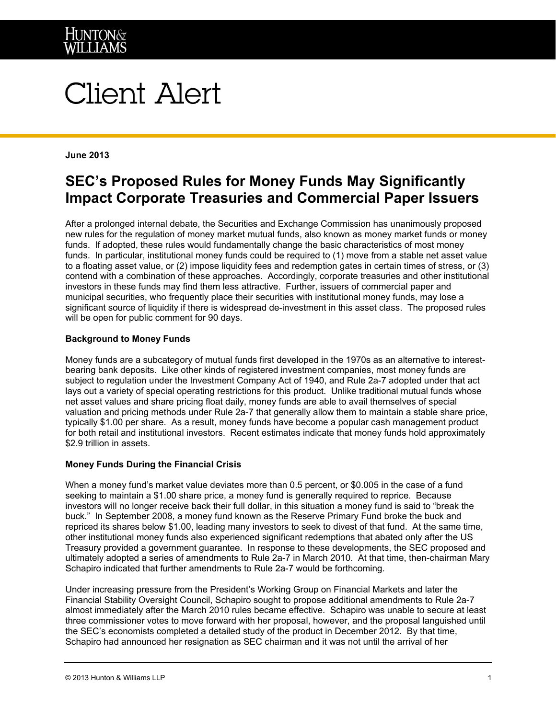

# **Client Alert**

#### **June 2013**

## **SEC's Proposed Rules for Money Funds May Significantly Impact Corporate Treasuries and Commercial Paper Issuers**

After a prolonged internal debate, the Securities and Exchange Commission has unanimously proposed new rules for the regulation of money market mutual funds, also known as money market funds or money funds. If adopted, these rules would fundamentally change the basic characteristics of most money funds. In particular, institutional money funds could be required to (1) move from a stable net asset value to a floating asset value, or (2) impose liquidity fees and redemption gates in certain times of stress, or (3) contend with a combination of these approaches. Accordingly, corporate treasuries and other institutional investors in these funds may find them less attractive. Further, issuers of commercial paper and municipal securities, who frequently place their securities with institutional money funds, may lose a significant source of liquidity if there is widespread de-investment in this asset class. The proposed rules will be open for public comment for 90 days.

#### **Background to Money Funds**

Money funds are a subcategory of mutual funds first developed in the 1970s as an alternative to interestbearing bank deposits. Like other kinds of registered investment companies, most money funds are subject to regulation under the Investment Company Act of 1940, and Rule 2a-7 adopted under that act lays out a variety of special operating restrictions for this product. Unlike traditional mutual funds whose net asset values and share pricing float daily, money funds are able to avail themselves of special valuation and pricing methods under Rule 2a-7 that generally allow them to maintain a stable share price, typically \$1.00 per share. As a result, money funds have become a popular cash management product for both retail and institutional investors. Recent estimates indicate that money funds hold approximately \$2.9 trillion in assets.

### **Money Funds During the Financial Crisis**

When a money fund's market value deviates more than 0.5 percent, or \$0.005 in the case of a fund seeking to maintain a \$1.00 share price, a money fund is generally required to reprice. Because investors will no longer receive back their full dollar, in this situation a money fund is said to "break the buck." In September 2008, a money fund known as the Reserve Primary Fund broke the buck and repriced its shares below \$1.00, leading many investors to seek to divest of that fund. At the same time, other institutional money funds also experienced significant redemptions that abated only after the US Treasury provided a government guarantee. In response to these developments, the SEC proposed and ultimately adopted a series of amendments to Rule 2a-7 in March 2010. At that time, then-chairman Mary Schapiro indicated that further amendments to Rule 2a-7 would be forthcoming.

Under increasing pressure from the President's Working Group on Financial Markets and later the Financial Stability Oversight Council, Schapiro sought to propose additional amendments to Rule 2a-7 almost immediately after the March 2010 rules became effective. Schapiro was unable to secure at least three commissioner votes to move forward with her proposal, however, and the proposal languished until the SEC's economists completed a detailed study of the product in December 2012. By that time, Schapiro had announced her resignation as SEC chairman and it was not until the arrival of her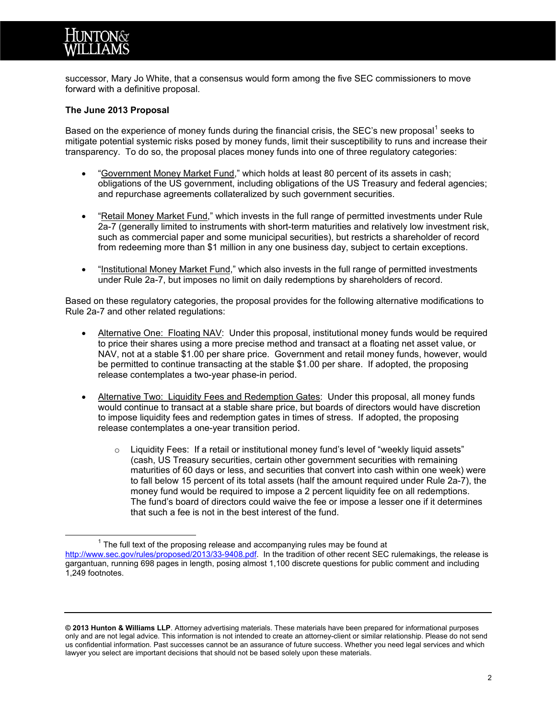

successor, Mary Jo White, that a consensus would form among the five SEC commissioners to move forward with a definitive proposal.

#### **The June 2013 Proposal**

Based on the experience of money funds during the financial crisis, the SEC's new proposal<sup>[1](#page-1-0)</sup> seeks to mitigate potential systemic risks posed by money funds, limit their susceptibility to runs and increase their transparency. To do so, the proposal places money funds into one of three regulatory categories:

- "Government Money Market Fund," which holds at least 80 percent of its assets in cash; obligations of the US government, including obligations of the US Treasury and federal agencies; and repurchase agreements collateralized by such government securities.
- "Retail Money Market Fund," which invests in the full range of permitted investments under Rule 2a-7 (generally limited to instruments with short-term maturities and relatively low investment risk, such as commercial paper and some municipal securities), but restricts a shareholder of record from redeeming more than \$1 million in any one business day, subject to certain exceptions.
- "Institutional Money Market Fund," which also invests in the full range of permitted investments under Rule 2a-7, but imposes no limit on daily redemptions by shareholders of record.

Based on these regulatory categories, the proposal provides for the following alternative modifications to Rule 2a-7 and other related regulations:

- Alternative One: Floating NAV: Under this proposal, institutional money funds would be required to price their shares using a more precise method and transact at a floating net asset value, or NAV, not at a stable \$1.00 per share price. Government and retail money funds, however, would be permitted to continue transacting at the stable \$1.00 per share. If adopted, the proposing release contemplates a two-year phase-in period.
- Alternative Two: Liquidity Fees and Redemption Gates: Under this proposal, all money funds would continue to transact at a stable share price, but boards of directors would have discretion to impose liquidity fees and redemption gates in times of stress. If adopted, the proposing release contemplates a one-year transition period.
	- $\circ$  Liquidity Fees: If a retail or institutional money fund's level of "weekly liquid assets" (cash, US Treasury securities, certain other government securities with remaining maturities of 60 days or less, and securities that convert into cash within one week) were to fall below 15 percent of its total assets (half the amount required under Rule 2a-7), the money fund would be required to impose a 2 percent liquidity fee on all redemptions. The fund's board of directors could waive the fee or impose a lesser one if it determines that such a fee is not in the best interest of the fund.

<span id="page-1-0"></span> $1$  The full text of the proposing release and accompanying rules may be found at [http://www.sec.gov/rules/proposed/2013/33-9408.pdf.](http://www.sec.gov/rules/proposed/2013/33-9408.pdf) In the tradition of other recent SEC rulemakings, the release is gargantuan, running 698 pages in length, posing almost 1,100 discrete questions for public comment and including 1,249 footnotes.

**<sup>© 2013</sup> Hunton & Williams LLP**. Attorney advertising materials. These materials have been prepared for informational purposes only and are not legal advice. This information is not intended to create an attorney-client or similar relationship. Please do not send us confidential information. Past successes cannot be an assurance of future success. Whether you need legal services and which lawyer you select are important decisions that should not be based solely upon these materials.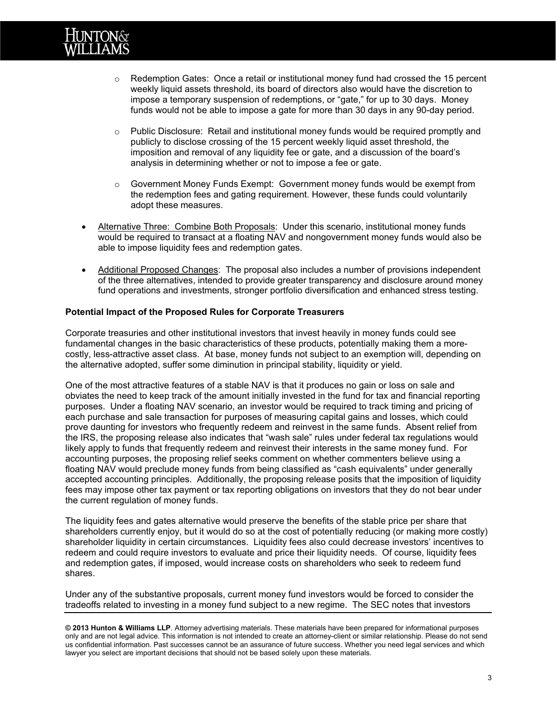

- $\circ$  Redemption Gates: Once a retail or institutional money fund had crossed the 15 percent weekly liquid assets threshold, its board of directors also would have the discretion to impose a temporary suspension of redemptions, or "gate," for up to 30 days. Money funds would not be able to impose a gate for more than 30 days in any 90-day period.
- $\circ$  Public Disclosure: Retail and institutional money funds would be required promptly and publicly to disclose crossing of the 15 percent weekly liquid asset threshold, the imposition and removal of any liquidity fee or gate, and a discussion of the board's analysis in determining whether or not to impose a fee or gate.
- $\circ$  Government Money Funds Exempt: Government money funds would be exempt from the redemption fees and gating requirement. However, these funds could voluntarily adopt these measures.
- Alternative Three: Combine Both Proposals: Under this scenario, institutional money funds would be required to transact at a floating NAV and nongovernment money funds would also be able to impose liquidity fees and redemption gates.
- Additional Proposed Changes: The proposal also includes a number of provisions independent of the three alternatives, intended to provide greater transparency and disclosure around money fund operations and investments, stronger portfolio diversification and enhanced stress testing.

#### **Potential Impact of the Proposed Rules for Corporate Treasurers**

Corporate treasuries and other institutional investors that invest heavily in money funds could see fundamental changes in the basic characteristics of these products, potentially making them a morecostly, less-attractive asset class. At base, money funds not subject to an exemption will, depending on the alternative adopted, suffer some diminution in principal stability, liquidity or yield.

One of the most attractive features of a stable NAV is that it produces no gain or loss on sale and obviates the need to keep track of the amount initially invested in the fund for tax and financial reporting purposes. Under a floating NAV scenario, an investor would be required to track timing and pricing of each purchase and sale transaction for purposes of measuring capital gains and losses, which could prove daunting for investors who frequently redeem and reinvest in the same funds. Absent relief from the IRS, the proposing release also indicates that "wash sale" rules under federal tax regulations would likely apply to funds that frequently redeem and reinvest their interests in the same money fund. For accounting purposes, the proposing relief seeks comment on whether commenters believe using a floating NAV would preclude money funds from being classified as "cash equivalents" under generally accepted accounting principles. Additionally, the proposing release posits that the imposition of liquidity fees may impose other tax payment or tax reporting obligations on investors that they do not bear under the current regulation of money funds.

The liquidity fees and gates alternative would preserve the benefits of the stable price per share that shareholders currently enjoy, but it would do so at the cost of potentially reducing (or making more costly) shareholder liquidity in certain circumstances. Liquidity fees also could decrease investors' incentives to redeem and could require investors to evaluate and price their liquidity needs. Of course, liquidity fees and redemption gates, if imposed, would increase costs on shareholders who seek to redeem fund shares.

Under any of the substantive proposals, current money fund investors would be forced to consider the tradeoffs related to investing in a money fund subject to a new regime. The SEC notes that investors

**<sup>© 2013</sup> Hunton & Williams LLP**. Attorney advertising materials. These materials have been prepared for informational purposes only and are not legal advice. This information is not intended to create an attorney-client or similar relationship. Please do not send us confidential information. Past successes cannot be an assurance of future success. Whether you need legal services and which lawyer you select are important decisions that should not be based solely upon these materials.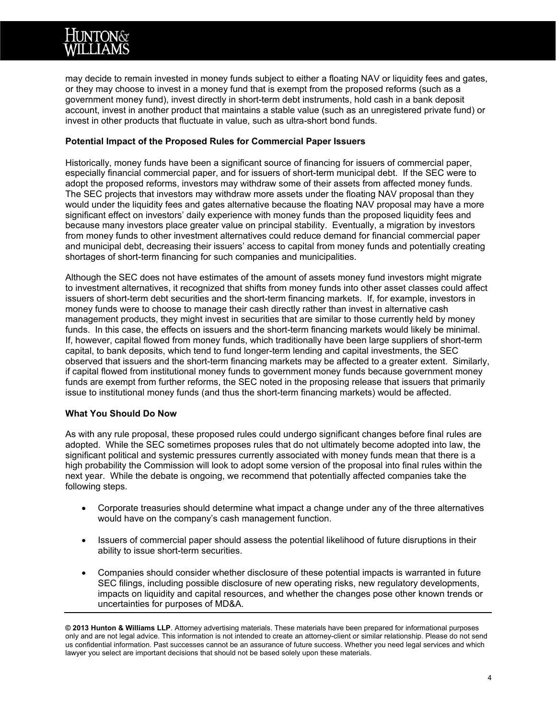may decide to remain invested in money funds subject to either a floating NAV or liquidity fees and gates, or they may choose to invest in a money fund that is exempt from the proposed reforms (such as a government money fund), invest directly in short-term debt instruments, hold cash in a bank deposit account, invest in another product that maintains a stable value (such as an unregistered private fund) or invest in other products that fluctuate in value, such as ultra-short bond funds.

### **Potential Impact of the Proposed Rules for Commercial Paper Issuers**

Historically, money funds have been a significant source of financing for issuers of commercial paper, especially financial commercial paper, and for issuers of short-term municipal debt. If the SEC were to adopt the proposed reforms, investors may withdraw some of their assets from affected money funds. The SEC projects that investors may withdraw more assets under the floating NAV proposal than they would under the liquidity fees and gates alternative because the floating NAV proposal may have a more significant effect on investors' daily experience with money funds than the proposed liquidity fees and because many investors place greater value on principal stability. Eventually, a migration by investors from money funds to other investment alternatives could reduce demand for financial commercial paper and municipal debt, decreasing their issuers' access to capital from money funds and potentially creating shortages of short-term financing for such companies and municipalities.

Although the SEC does not have estimates of the amount of assets money fund investors might migrate to investment alternatives, it recognized that shifts from money funds into other asset classes could affect issuers of short-term debt securities and the short-term financing markets. If, for example, investors in money funds were to choose to manage their cash directly rather than invest in alternative cash management products, they might invest in securities that are similar to those currently held by money funds. In this case, the effects on issuers and the short-term financing markets would likely be minimal. If, however, capital flowed from money funds, which traditionally have been large suppliers of short-term capital, to bank deposits, which tend to fund longer-term lending and capital investments, the SEC observed that issuers and the short-term financing markets may be affected to a greater extent. Similarly, if capital flowed from institutional money funds to government money funds because government money funds are exempt from further reforms, the SEC noted in the proposing release that issuers that primarily issue to institutional money funds (and thus the short-term financing markets) would be affected.

### **What You Should Do Now**

As with any rule proposal, these proposed rules could undergo significant changes before final rules are adopted. While the SEC sometimes proposes rules that do not ultimately become adopted into law, the significant political and systemic pressures currently associated with money funds mean that there is a high probability the Commission will look to adopt some version of the proposal into final rules within the next year. While the debate is ongoing, we recommend that potentially affected companies take the following steps.

- Corporate treasuries should determine what impact a change under any of the three alternatives would have on the company's cash management function.
- Issuers of commercial paper should assess the potential likelihood of future disruptions in their ability to issue short-term securities.
- Companies should consider whether disclosure of these potential impacts is warranted in future SEC filings, including possible disclosure of new operating risks, new regulatory developments, impacts on liquidity and capital resources, and whether the changes pose other known trends or uncertainties for purposes of MD&A.

**© 2013 Hunton & Williams LLP**. Attorney advertising materials. These materials have been prepared for informational purposes only and are not legal advice. This information is not intended to create an attorney-client or similar relationship. Please do not send us confidential information. Past successes cannot be an assurance of future success. Whether you need legal services and which lawyer you select are important decisions that should not be based solely upon these materials.